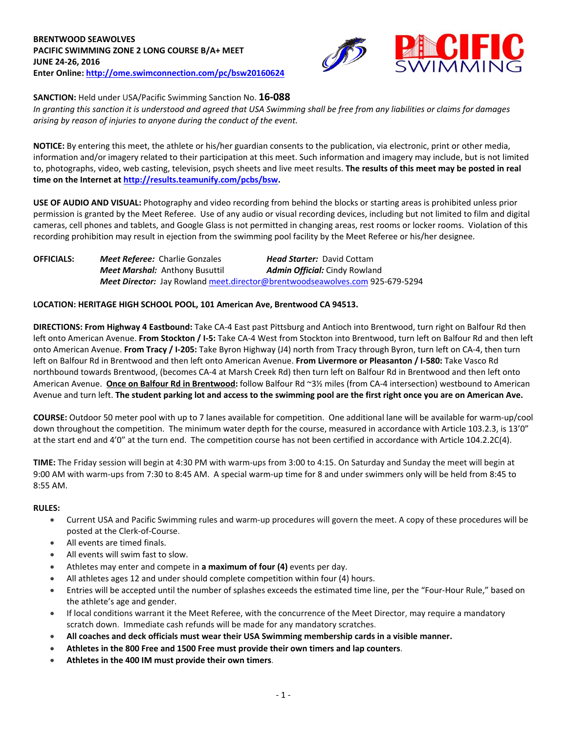

**SANCTION:** Held under USA/Pacific Swimming Sanction No. **16-088**

*In granting this sanction it is understood and agreed that USA Swimming shall be free from any liabilities or claims for damages arising by reason of injuries to anyone during the conduct of the event.*

**NOTICE:** By entering this meet, the athlete or his/her guardian consents to the publication, via electronic, print or other media, information and/or imagery related to their participation at this meet. Such information and imagery may include, but is not limited to, photographs, video, web casting, television, psych sheets and live meet results. **The results of this meet may be posted in real time on the Internet a[t http://results.teamunify.com/pcbs/bsw.](http://results.teamunify.com/pcbs/bsw)**

**USE OF AUDIO AND VISUAL:** Photography and video recording from behind the blocks or starting areas is prohibited unless prior permission is granted by the Meet Referee. Use of any audio or visual recording devices, including but not limited to film and digital cameras, cell phones and tablets, and Google Glass is not permitted in changing areas, rest rooms or locker rooms. Violation of this recording prohibition may result in ejection from the swimming pool facility by the Meet Referee or his/her designee.

**OFFICIALS:** *Meet Referee:* Charlie Gonzales *Head Starter:* David Cottam *Meet Marshal:* Anthony Busuttil **Admin Official:** Cindy Rowland *Meet Director:* Jay Rowlan[d meet.director@brentwoodseawolves.com](mailto:meet.director@brentwoodseawolves.com) 925-679-5294

## **LOCATION: HERITAGE HIGH SCHOOL POOL, 101 American Ave, Brentwood CA 94513.**

**DIRECTIONS: From Highway 4 Eastbound:** Take CA-4 East past Pittsburg and Antioch into Brentwood, turn right on Balfour Rd then left onto American Avenue. **From Stockton / I-5:** Take CA-4 West from Stockton into Brentwood, turn left on Balfour Rd and then left onto American Avenue. **From Tracy / I-205:** Take Byron Highway (J4) north from Tracy through Byron, turn left on CA-4, then turn left on Balfour Rd in Brentwood and then left onto American Avenue. **From Livermore or Pleasanton / I-580:** Take Vasco Rd northbound towards Brentwood, (becomes CA-4 at Marsh Creek Rd) then turn left on Balfour Rd in Brentwood and then left onto American Avenue. **Once on Balfour Rd in Brentwood:** follow Balfour Rd ~3½ miles (from CA-4 intersection) westbound to American Avenue and turn left. **The student parking lot and access to the swimming pool are the first right once you are on American Ave.**

**COURSE:** Outdoor 50 meter pool with up to 7 lanes available for competition. One additional lane will be available for warm-up/cool down throughout the competition. The minimum water depth for the course, measured in accordance with Article 103.2.3, is 13'0" at the start end and 4'0" at the turn end. The competition course has not been certified in accordance with Article 104.2.2C(4).

**TIME:** The Friday session will begin at 4:30 PM with warm-ups from 3:00 to 4:15. On Saturday and Sunday the meet will begin at 9:00 AM with warm-ups from 7:30 to 8:45 AM. A special warm-up time for 8 and under swimmers only will be held from 8:45 to 8:55 AM.

### **RULES:**

- Current USA and Pacific Swimming rules and warm-up procedures will govern the meet. A copy of these procedures will be posted at the Clerk-of-Course.
- All events are timed finals.
- All events will swim fast to slow.
- Athletes may enter and compete in **a maximum of four (4)** events per day.
- All athletes ages 12 and under should complete competition within four (4) hours.
- Entries will be accepted until the number of splashes exceeds the estimated time line, per the "Four-Hour Rule," based on the athlete's age and gender.
- If local conditions warrant it the Meet Referee, with the concurrence of the Meet Director, may require a mandatory scratch down. Immediate cash refunds will be made for any mandatory scratches.
- **All coaches and deck officials must wear their USA Swimming membership cards in a visible manner.**
- **Athletes in the 800 Free and 1500 Free must provide their own timers and lap counters**.
- **Athletes in the 400 IM must provide their own timers**.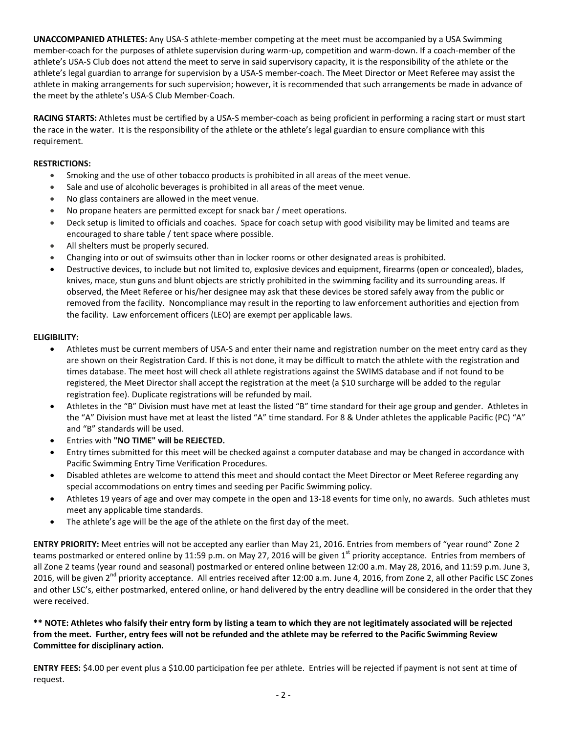**UNACCOMPANIED ATHLETES:** Any USA-S athlete-member competing at the meet must be accompanied by a USA Swimming member-coach for the purposes of athlete supervision during warm-up, competition and warm-down. If a coach-member of the athlete's USA-S Club does not attend the meet to serve in said supervisory capacity, it is the responsibility of the athlete or the athlete's legal guardian to arrange for supervision by a USA-S member-coach. The Meet Director or Meet Referee may assist the athlete in making arrangements for such supervision; however, it is recommended that such arrangements be made in advance of the meet by the athlete's USA-S Club Member-Coach.

**RACING STARTS:** Athletes must be certified by a USA-S member-coach as being proficient in performing a racing start or must start the race in the water. It is the responsibility of the athlete or the athlete's legal guardian to ensure compliance with this requirement.

# **RESTRICTIONS:**

- Smoking and the use of other tobacco products is prohibited in all areas of the meet venue.
- Sale and use of alcoholic beverages is prohibited in all areas of the meet venue.
- No glass containers are allowed in the meet venue.
- No propane heaters are permitted except for snack bar / meet operations.
- Deck setup is limited to officials and coaches. Space for coach setup with good visibility may be limited and teams are encouraged to share table / tent space where possible.
- All shelters must be properly secured.
- Changing into or out of swimsuits other than in locker rooms or other designated areas is prohibited.
- Destructive devices, to include but not limited to, explosive devices and equipment, firearms (open or concealed), blades, knives, mace, stun guns and blunt objects are strictly prohibited in the swimming facility and its surrounding areas. If observed, the Meet Referee or his/her designee may ask that these devices be stored safely away from the public or removed from the facility. Noncompliance may result in the reporting to law enforcement authorities and ejection from the facility. Law enforcement officers (LEO) are exempt per applicable laws.

## **ELIGIBILITY:**

- Athletes must be current members of USA-S and enter their name and registration number on the meet entry card as they are shown on their Registration Card. If this is not done, it may be difficult to match the athlete with the registration and times database. The meet host will check all athlete registrations against the SWIMS database and if not found to be registered, the Meet Director shall accept the registration at the meet (a \$10 surcharge will be added to the regular registration fee). Duplicate registrations will be refunded by mail.
- Athletes in the "B" Division must have met at least the listed "B" time standard for their age group and gender. Athletes in the "A" Division must have met at least the listed "A" time standard. For 8 & Under athletes the applicable Pacific (PC) "A" and "B" standards will be used.
- Entries with **"NO TIME" will be REJECTED.**
- Entry times submitted for this meet will be checked against a computer database and may be changed in accordance with Pacific Swimming Entry Time Verification Procedures.
- Disabled athletes are welcome to attend this meet and should contact the Meet Director or Meet Referee regarding any special accommodations on entry times and seeding per Pacific Swimming policy.
- Athletes 19 years of age and over may compete in the open and 13-18 events for time only, no awards. Such athletes must meet any applicable time standards.
- The athlete's age will be the age of the athlete on the first day of the meet.

**ENTRY PRIORITY:** Meet entries will not be accepted any earlier than May 21, 2016. Entries from members of "year round" Zone 2 teams postmarked or entered online by 11:59 p.m. on May 27, 2016 will be given  $1<sup>st</sup>$  priority acceptance. Entries from members of all Zone 2 teams (year round and seasonal) postmarked or entered online between 12:00 a.m. May 28, 2016, and 11:59 p.m. June 3, 2016, will be given  $2^{nd}$  priority acceptance. All entries received after 12:00 a.m. June 4, 2016, from Zone 2, all other Pacific LSC Zones and other LSC's, either postmarked, entered online, or hand delivered by the entry deadline will be considered in the order that they were received.

# **\*\* NOTE: Athletes who falsify their entry form by listing a team to which they are not legitimately associated will be rejected from the meet. Further, entry fees will not be refunded and the athlete may be referred to the Pacific Swimming Review Committee for disciplinary action.**

**ENTRY FEES:** \$4.00 per event plus a \$10.00 participation fee per athlete. Entries will be rejected if payment is not sent at time of request.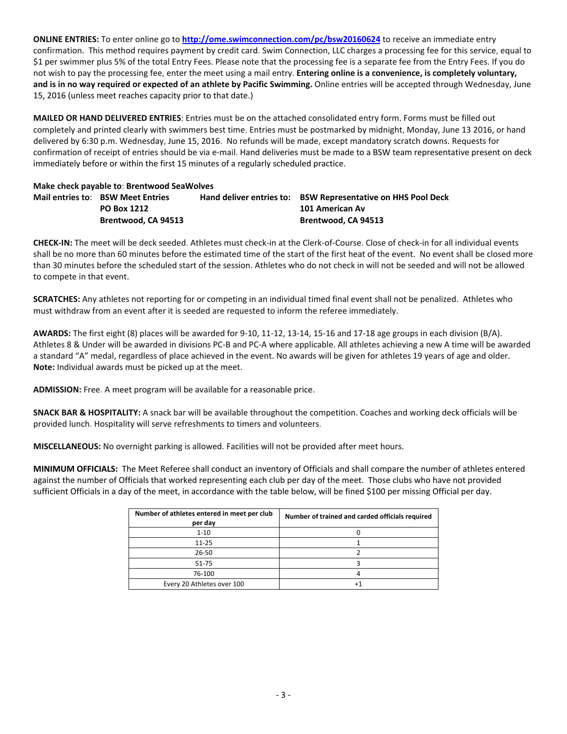**ONLINE ENTRIES:** To enter online go to **<http://ome.swimconnection.com/pc/bsw20160624>** to receive an immediate entry confirmation. This method requires payment by credit card. Swim Connection, LLC charges a processing fee for this service, equal to \$1 per swimmer plus 5% of the total Entry Fees. Please note that the processing fee is a separate fee from the Entry Fees. If you do not wish to pay the processing fee, enter the meet using a mail entry. **Entering online is a convenience, is completely voluntary, and is in no way required or expected of an athlete by Pacific Swimming.** Online entries will be accepted through Wednesday, June 15, 2016 (unless meet reaches capacity prior to that date.)

**MAILED OR HAND DELIVERED ENTRIES**: Entries must be on the attached consolidated entry form. Forms must be filled out completely and printed clearly with swimmers best time. Entries must be postmarked by midnight, Monday, June 13 2016, or hand delivered by 6:30 p.m. Wednesday, June 15, 2016. No refunds will be made, except mandatory scratch downs. Requests for confirmation of receipt of entries should be via e-mail. Hand deliveries must be made to a BSW team representative present on deck immediately before or within the first 15 minutes of a regularly scheduled practice.

### **Make check payable to**: **Brentwood SeaWolves**

|                     |                                          | Hand deliver entries to: BSW Representative on HHS Pool Deck |
|---------------------|------------------------------------------|--------------------------------------------------------------|
| <b>PO Box 1212</b>  |                                          | 101 American Av                                              |
| Brentwood, CA 94513 |                                          | Brentwood, CA 94513                                          |
|                     | <b>Mail entries to: BSW Meet Entries</b> |                                                              |

**CHECK-IN:** The meet will be deck seeded. Athletes must check-in at the Clerk-of-Course. Close of check-in for all individual events shall be no more than 60 minutes before the estimated time of the start of the first heat of the event. No event shall be closed more than 30 minutes before the scheduled start of the session. Athletes who do not check in will not be seeded and will not be allowed to compete in that event.

**SCRATCHES:** Any athletes not reporting for or competing in an individual timed final event shall not be penalized. Athletes who must withdraw from an event after it is seeded are requested to inform the referee immediately.

**AWARDS:** The first eight (8) places will be awarded for 9-10, 11-12, 13-14, 15-16 and 17-18 age groups in each division (B/A). Athletes 8 & Under will be awarded in divisions PC-B and PC-A where applicable. All athletes achieving a new A time will be awarded a standard "A" medal, regardless of place achieved in the event. No awards will be given for athletes 19 years of age and older. **Note:** Individual awards must be picked up at the meet.

**ADMISSION:** Free. A meet program will be available for a reasonable price.

**SNACK BAR & HOSPITALITY:** A snack bar will be available throughout the competition. Coaches and working deck officials will be provided lunch. Hospitality will serve refreshments to timers and volunteers.

**MISCELLANEOUS:** No overnight parking is allowed. Facilities will not be provided after meet hours.

**MINIMUM OFFICIALS:** The Meet Referee shall conduct an inventory of Officials and shall compare the number of athletes entered against the number of Officials that worked representing each club per day of the meet. Those clubs who have not provided sufficient Officials in a day of the meet, in accordance with the table below, will be fined \$100 per missing Official per day.

| Number of athletes entered in meet per club<br>per day | Number of trained and carded officials required |
|--------------------------------------------------------|-------------------------------------------------|
| $1 - 10$                                               |                                                 |
| $11 - 25$                                              |                                                 |
| $26 - 50$                                              |                                                 |
| $51 - 75$                                              |                                                 |
| 76-100                                                 |                                                 |
| Every 20 Athletes over 100                             |                                                 |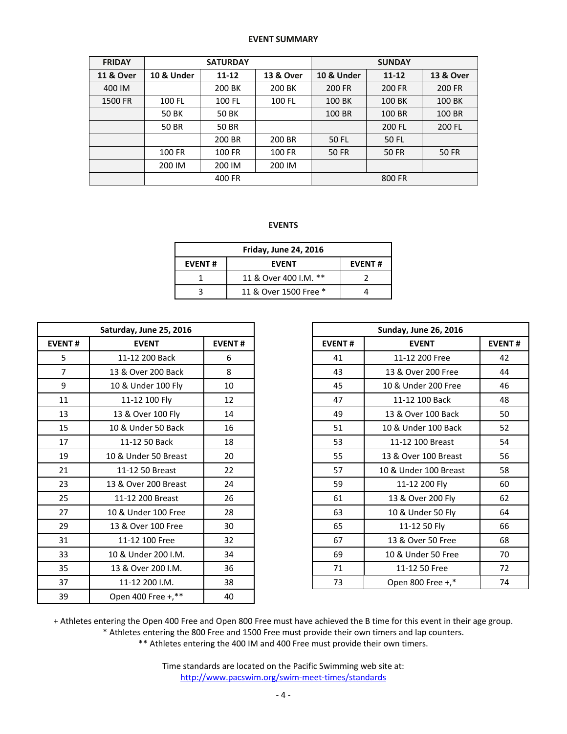## **EVENT SUMMARY**

| <b>FRIDAY</b>        |            | <b>SATURDAY</b> |           | <b>SUNDAY</b>         |              |                      |  |  |
|----------------------|------------|-----------------|-----------|-----------------------|--------------|----------------------|--|--|
| <b>11 &amp; Over</b> | 10 & Under | $11 - 12$       | 13 & Over | <b>10 &amp; Under</b> | $11 - 12$    | <b>13 &amp; Over</b> |  |  |
| 400 IM               |            | 200 BK          | 200 BK    | 200 FR                | 200 FR       | 200 FR               |  |  |
| 1500 FR              | 100 FL     | 100 FL          | 100 FL    | 100 BK                | 100 BK       | 100 BK               |  |  |
|                      | 50 BK      | 50 BK           |           | 100 BR                | 100 BR       | 100 BR               |  |  |
|                      | 50 BR      | 50 BR           |           |                       | 200 FL       | 200 FL               |  |  |
|                      |            | 200 BR          | 200 BR    | 50 FL                 | 50 FL        |                      |  |  |
|                      | 100 FR     | 100 FR          | 100 FR    | 50 FR                 | <b>50 FR</b> | 50 FR                |  |  |
|                      | 200 IM     | 200 IM          | 200 IM    |                       |              |                      |  |  |
|                      | 400 FR     |                 |           |                       | 800 FR       |                      |  |  |

## **EVENTS**

| <b>Friday, June 24, 2016</b> |                       |  |  |  |  |  |  |
|------------------------------|-----------------------|--|--|--|--|--|--|
| <b>EVENT#</b>                | <b>EVENT#</b>         |  |  |  |  |  |  |
|                              | 11 & Over 400 I.M. ** |  |  |  |  |  |  |
|                              | 11 & Over 1500 Free * |  |  |  |  |  |  |

|                               | Saturday, June 25, 2016 |               |               | <b>Sunday, June 26, 2016</b> |
|-------------------------------|-------------------------|---------------|---------------|------------------------------|
| <b>EVENT#</b><br><b>EVENT</b> |                         | <b>EVENT#</b> | <b>EVENT#</b> | <b>EVENT</b>                 |
| 5                             | 11-12 200 Back          | 6             | 41            | 11-12 200 Free               |
| $\overline{7}$                | 13 & Over 200 Back      | 8             | 43            | 13 & Over 200 Free           |
| 9                             | 10 & Under 100 Fly      | 10            | 45            | 10 & Under 200 Free          |
| 11                            | 11-12 100 Fly           | 12            | 47            | 11-12 100 Back               |
| 13                            | 13 & Over 100 Fly       | 14            | 49            | 13 & Over 100 Back           |
| 15                            | 10 & Under 50 Back      | 16            | 51            | 10 & Under 100 Back          |
| 17                            | 11-12 50 Back           | 18            | 53            | 11-12 100 Breast             |
| 19                            | 10 & Under 50 Breast    | 20            | 55            | 13 & Over 100 Breast         |
| 21                            | 11-12 50 Breast         | 22            | 57            | 10 & Under 100 Breas         |
| 23                            | 13 & Over 200 Breast    | 24            | 59            | 11-12 200 Fly                |
| 25                            | 11-12 200 Breast        | 26            | 61            | 13 & Over 200 Fly            |
| 27                            | 10 & Under 100 Free     | 28            | 63            | 10 & Under 50 Fly            |
| 29                            | 13 & Over 100 Free      | 30            | 65            | 11-12 50 Fly                 |
| 31                            | 11-12 100 Free          | 32            | 67            | 13 & Over 50 Free            |
| 33                            | 10 & Under 200 I.M.     | 34            | 69            | 10 & Under 50 Free           |
| 35                            | 13 & Over 200 I.M.      | 36            | 71            | 11-12 50 Free                |
| 37                            | 11-12 200 I.M.          | 38            | 73            | Open 800 Free +,*            |
| 39                            | Open 400 Free +,**      | 40            |               |                              |

| Saturday, June 25, 2016 |                      |               |
|-------------------------|----------------------|---------------|
| <b>EVENT#</b>           | <b>EVENT</b>         | <b>EVENT#</b> |
| 5                       | 11-12 200 Back       | 6             |
| $\overline{7}$          | 13 & Over 200 Back   | 8             |
| 9                       | 10 & Under 100 Fly   | 10            |
| 11                      | 11-12 100 Fly        | 12            |
| 13                      | 13 & Over 100 Fly    | 14            |
| 15                      | 10 & Under 50 Back   | 16            |
| 17                      | 11-12 50 Back        | 18            |
| 19                      | 10 & Under 50 Breast | 20            |
| 21                      | 11-12 50 Breast      | 22            |
| 23                      | 13 & Over 200 Breast | 24            |
| 25                      | 11-12 200 Breast     | 26            |
| 27                      | 10 & Under 100 Free  | 28            |
| 29                      | 13 & Over 100 Free   | 30            |
| 31                      | 11-12 100 Free       | 32            |
| 33                      | 10 & Under 200 I.M.  | 34            |
| 35                      | 13 & Over 200 I.M.   | 36            |
| 37                      | 11-12 200 I.M.       | 38            |

+ Athletes entering the Open 400 Free and Open 800 Free must have achieved the B time for this event in their age group.

\* Athletes entering the 800 Free and 1500 Free must provide their own timers and lap counters.

\*\* Athletes entering the 400 IM and 400 Free must provide their own timers.

Time standards are located on the Pacific Swimming web site at: <http://www.pacswim.org/swim-meet-times/standards>